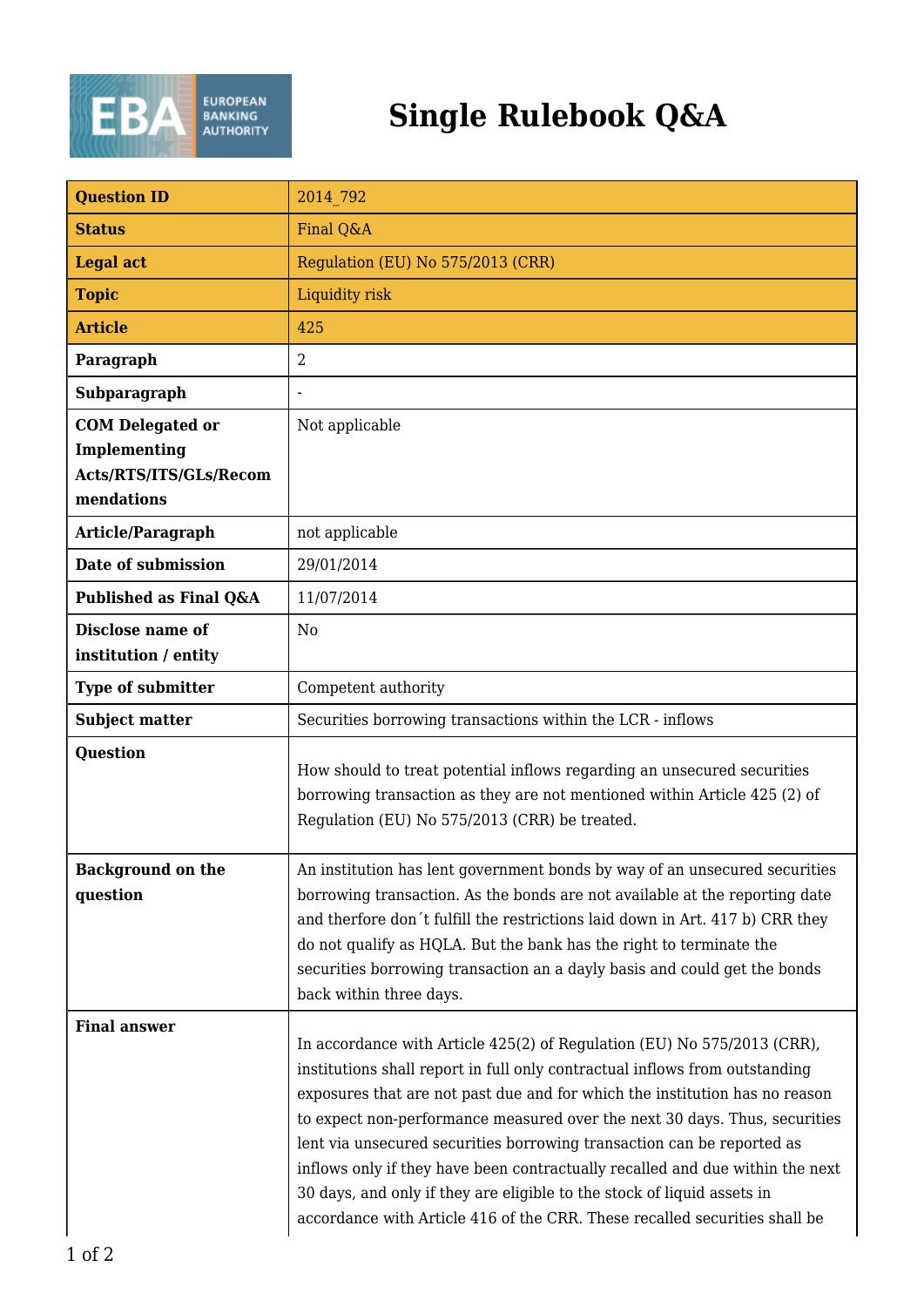

## **Single Rulebook Q&A**

| <b>Question ID</b>                                                              | 2014 792                                                                                                                                                                                                                                                                                                                                                                                                                                                                                                                                                                                                                                |
|---------------------------------------------------------------------------------|-----------------------------------------------------------------------------------------------------------------------------------------------------------------------------------------------------------------------------------------------------------------------------------------------------------------------------------------------------------------------------------------------------------------------------------------------------------------------------------------------------------------------------------------------------------------------------------------------------------------------------------------|
| <b>Status</b>                                                                   | Final Q&A                                                                                                                                                                                                                                                                                                                                                                                                                                                                                                                                                                                                                               |
| <b>Legal act</b>                                                                | Regulation (EU) No 575/2013 (CRR)                                                                                                                                                                                                                                                                                                                                                                                                                                                                                                                                                                                                       |
| <b>Topic</b>                                                                    | Liquidity risk                                                                                                                                                                                                                                                                                                                                                                                                                                                                                                                                                                                                                          |
| <b>Article</b>                                                                  | 425                                                                                                                                                                                                                                                                                                                                                                                                                                                                                                                                                                                                                                     |
| Paragraph                                                                       | $\overline{2}$                                                                                                                                                                                                                                                                                                                                                                                                                                                                                                                                                                                                                          |
| Subparagraph                                                                    |                                                                                                                                                                                                                                                                                                                                                                                                                                                                                                                                                                                                                                         |
| <b>COM Delegated or</b><br>Implementing<br>Acts/RTS/ITS/GLs/Recom<br>mendations | Not applicable                                                                                                                                                                                                                                                                                                                                                                                                                                                                                                                                                                                                                          |
| Article/Paragraph                                                               | not applicable                                                                                                                                                                                                                                                                                                                                                                                                                                                                                                                                                                                                                          |
| Date of submission                                                              | 29/01/2014                                                                                                                                                                                                                                                                                                                                                                                                                                                                                                                                                                                                                              |
| Published as Final Q&A                                                          | 11/07/2014                                                                                                                                                                                                                                                                                                                                                                                                                                                                                                                                                                                                                              |
| Disclose name of<br>institution / entity                                        | N <sub>o</sub>                                                                                                                                                                                                                                                                                                                                                                                                                                                                                                                                                                                                                          |
| <b>Type of submitter</b>                                                        | Competent authority                                                                                                                                                                                                                                                                                                                                                                                                                                                                                                                                                                                                                     |
| <b>Subject matter</b>                                                           | Securities borrowing transactions within the LCR - inflows                                                                                                                                                                                                                                                                                                                                                                                                                                                                                                                                                                              |
| <b>Question</b>                                                                 | How should to treat potential inflows regarding an unsecured securities<br>borrowing transaction as they are not mentioned within Article 425 (2) of<br>Regulation (EU) No 575/2013 (CRR) be treated.                                                                                                                                                                                                                                                                                                                                                                                                                                   |
| <b>Background on the</b><br>question                                            | An institution has lent government bonds by way of an unsecured securities<br>borrowing transaction. As the bonds are not available at the reporting date<br>and therfore don't fulfill the restrictions laid down in Art. 417 b) CRR they<br>do not qualify as HQLA. But the bank has the right to terminate the<br>securities borrowing transaction an a dayly basis and could get the bonds<br>back within three days.                                                                                                                                                                                                               |
| <b>Final answer</b>                                                             | In accordance with Article 425(2) of Regulation (EU) No 575/2013 (CRR),<br>institutions shall report in full only contractual inflows from outstanding<br>exposures that are not past due and for which the institution has no reason<br>to expect non-performance measured over the next 30 days. Thus, securities<br>lent via unsecured securities borrowing transaction can be reported as<br>inflows only if they have been contractually recalled and due within the next<br>30 days, and only if they are eligible to the stock of liquid assets in<br>accordance with Article 416 of the CRR. These recalled securities shall be |